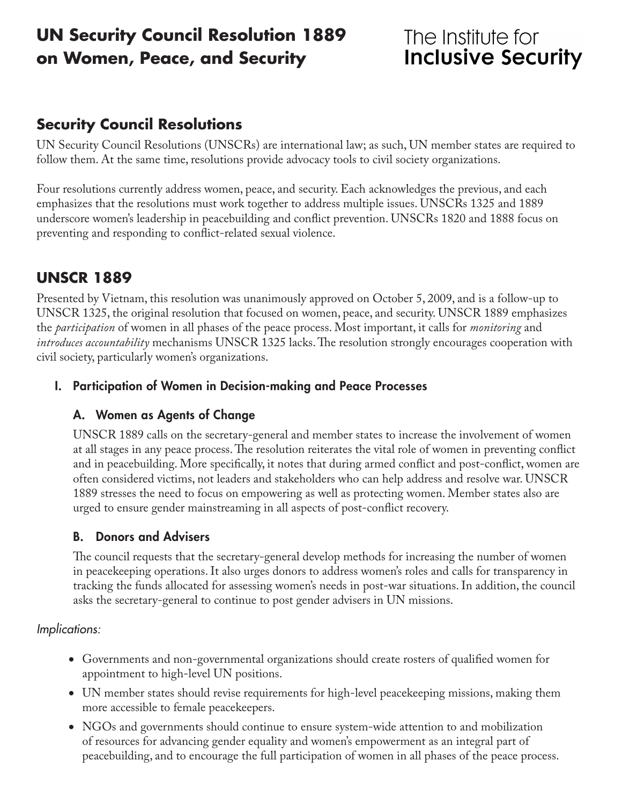# **UN Security Council Resolution 1889 on Women, Peace, and Security**

# The Institute for **Inclusive Security**

## **Security Council Resolutions**

UN Security Council Resolutions (UNSCRs) are international law; as such, UN member states are required to follow them. At the same time, resolutions provide advocacy tools to civil society organizations.

Four resolutions currently address women, peace, and security. Each acknowledges the previous, and each emphasizes that the resolutions must work together to address multiple issues. UNSCRs 1325 and 1889 underscore women's leadership in peacebuilding and conflict prevention. UNSCRs 1820 and 1888 focus on preventing and responding to conflict-related sexual violence.

## **UNSCR 1889**

Presented by Vietnam, this resolution was unanimously approved on October 5, 2009, and is a follow-up to UNSCR 1325, the original resolution that focused on women, peace, and security. UNSCR 1889 emphasizes the *participation* of women in all phases of the peace process. Most important, it calls for *monitoring* and *introduces accountability* mechanisms UNSCR 1325 lacks. The resolution strongly encourages cooperation with civil society, particularly women's organizations.

#### I. Participation of Women in Decision-making and Peace Processes

#### A. Women as Agents of Change

UNSCR 1889 calls on the secretary-general and member states to increase the involvement of women at all stages in any peace process. The resolution reiterates the vital role of women in preventing conflict and in peacebuilding. More specifically, it notes that during armed conflict and post-conflict, women are often considered victims, not leaders and stakeholders who can help address and resolve war. UNSCR 1889 stresses the need to focus on empowering as well as protecting women. Member states also are urged to ensure gender mainstreaming in all aspects of post-conflict recovery.

### B. Donors and Advisers

The council requests that the secretary-general develop methods for increasing the number of women in peacekeeping operations. It also urges donors to address women's roles and calls for transparency in tracking the funds allocated for assessing women's needs in post-war situations. In addition, the council asks the secretary-general to continue to post gender advisers in UN missions.

#### *Implications:*

- • Governments and non-governmental organizations should create rosters of qualified women for appointment to high-level UN positions.
- • UN member states should revise requirements for high-level peacekeeping missions, making them more accessible to female peacekeepers.
- NGOs and governments should continue to ensure system-wide attention to and mobilization of resources for advancing gender equality and women's empowerment as an integral part of peacebuilding, and to encourage the full participation of women in all phases of the peace process.